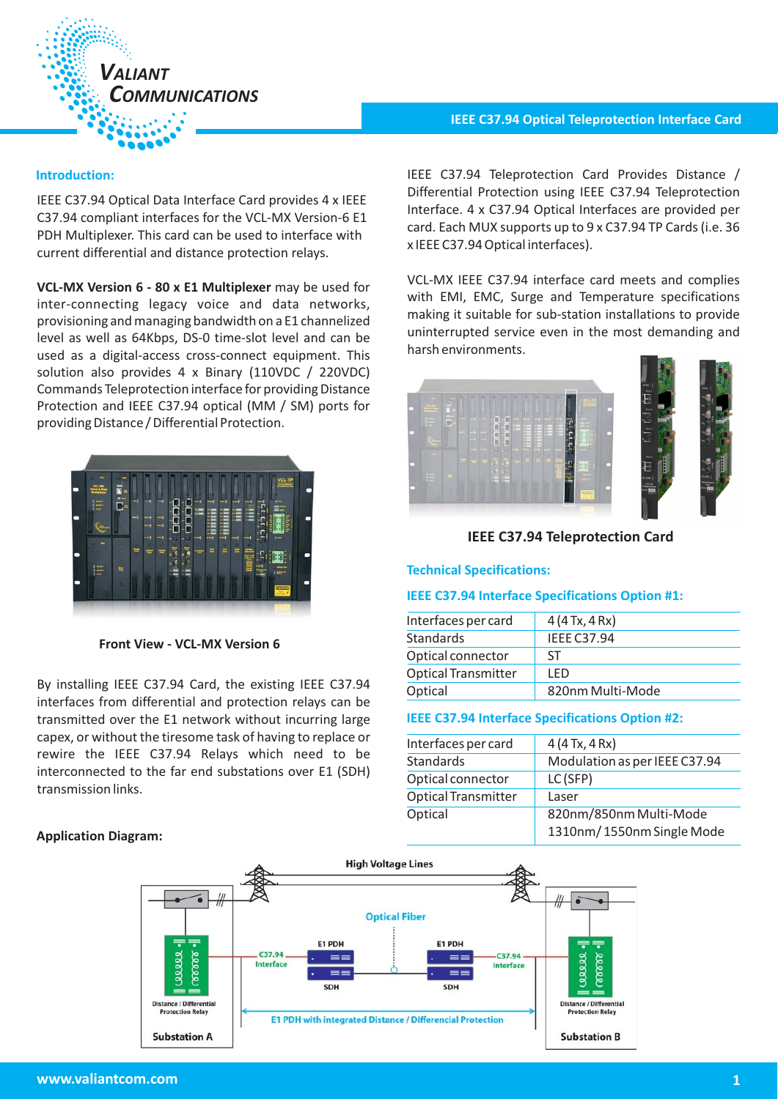

IEEE C37.94 Optical Data Interface Card provides 4 x IEEE C37.94 compliant interfaces for the VCL-MX Version-6 E1 PDH Multiplexer. This card can be used to interface with current differential and distance protection relays.

VCL-MX Version 6 - 80 x E1 Multiplexer may be used for inter-connecting legacy voice and data networks, provisioning and managing bandwidth on a E1 channelized level as well as 64Kbps, DS-0 time-slot level and can be used as a digital-access cross-connect equipment. This solution also provides 4 x Binary (110VDC / 220VDC) Commands Teleprotection interface for providing Distance Protection and IEEE C37.94 optical (MM / SM) ports for providing Distance / Differential Protection.

| m<br>VCL-TP<br><b>VCL-MX</b><br>Ness & Data                                                                   |  |
|---------------------------------------------------------------------------------------------------------------|--|
| $\bullet$<br>-1<br>-1<br>۰ı<br>--<br>$\overline{1}$<br>- 1<br>--<br>m<br>ь<br>÷<br>                           |  |
| H<br>٠<br>E<br>-1<br>마이<br>-1<br><b>HER</b><br><b>SHA</b><br>π<br>-1<br>ă<br>э                                |  |
| O<br>-- 1<br>-1<br>$-1$<br>-- 1<br>em j<br>÷.<br>--<br>ш<br>۰<br>$\overline{\phantom{a}}$<br>٠<br>٠<br>m<br>₩ |  |
| $\equiv$<br>Ē<br>農<br>濃<br>ш<br>$\frac{1}{2}$<br>÷<br>$\equiv$<br>₩<br>ľ<br>                                  |  |
| Ħ<br>ш<br><br>me m<br>H<br><br>m<br>٠                                                                         |  |
| <b>CATULOG</b><br>m.                                                                                          |  |

**Front View - VCL-MX Version 6**

By installing IEEE C37.94 Card, the existing IEEE C37.94 interfaces from differential and protection relays can be transmitted over the E1 network without incurring large capex, or without the tiresome task of having to replace or rewire the IEEE C37.94 Relays which need to be interconnected to the far end substations over E1 (SDH) transmission links.

# **Application Diagram:**

# **IEEE C37.94 Optical Teleprotection Interface Card**

**Introduction:** IEEE C37.94 Teleprotection Card Provides Distance / Differential Protection using IEEE C37.94 Teleprotection Interface. 4 x C37.94 Optical Interfaces are provided per card. Each MUX supports up to 9 x C37.94 TP Cards (i.e. 36 x IEEE C37.94 Optical interfaces).

> VCL-MX IEEE C37.94 interface card meets and complies with EMI, EMC, Surge and Temperature specifications making it suitable for sub-station installations to provide uninterrupted service even in the most demanding and harsh environments.



# **IEEE C37.94 Teleprotection Card**

# **Technical Specifications:**

## **IEEE C37.94 Interface Specifications Option #1:**

| Interfaces per card        | 4(4Tx, 4Rx)        |
|----------------------------|--------------------|
| <b>Standards</b>           | <b>IFFF C37.94</b> |
| Optical connector          | ST                 |
| <b>Optical Transmitter</b> | I FD               |
| Optical                    | 820nm Multi-Mode   |
|                            |                    |

#### **IEEE C37.94 Interface Specifications Option #2:**

| Interfaces per card        | 4(4Tx, 4Rx)                   |
|----------------------------|-------------------------------|
| Standards                  | Modulation as per IEEE C37.94 |
| Optical connector          | LC(SFP)                       |
| <b>Optical Transmitter</b> | Laser                         |
| Optical                    | 820nm/850nm Multi-Mode        |
|                            | 1310nm/1550nm Single Mode     |